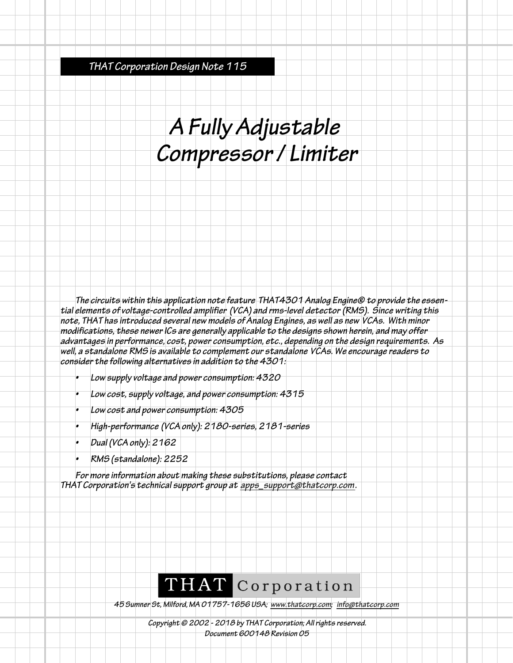**THAT Corporation Design Note 115**

## **A Fully Adjustable Compressor / Limiter**

**The circuits within this application note feature THAT4301 Analog Engine® to provide the essential elements of voltage-controlled amplifier (VCA) and rms-level detector (RMS). Since writing this note, THAT has introduced several new models of Analog Engines, as well as new VCAs. With minor modifications, these newer ICs are generally applicable to the designs shown herein, and may offer advantages in performance, cost, power consumption, etc., depending on the design requirements. As well, a standalone RMS is available to complement our standalone VCAs. We encourage readers to consider the following alternatives in addition to the 4301:**

- **Low supply voltage and power consumption: 4320**
- **Low cost, supply voltage, and power consumption: 4315**
- **Low cost and power consumption: 4305**
- **High-performance (VCA only): 2180-series, 2181-series**
- **Dual (VCA only): 2162**
- **RMS (standalone): 2252**

**For more information about making these substitutions, please contact THAT Corporation's technical support group at apps\_support@thatcorp.com.**

## THAT Corporation

**45 Sumner St, Milford, MA 01757-1656 USA; www.thatcorp.com; info@thatcorp.com**

**Copyright © 2002 - 2018 by THAT Corporation; All rights reserved. Document 600148 Revision 05**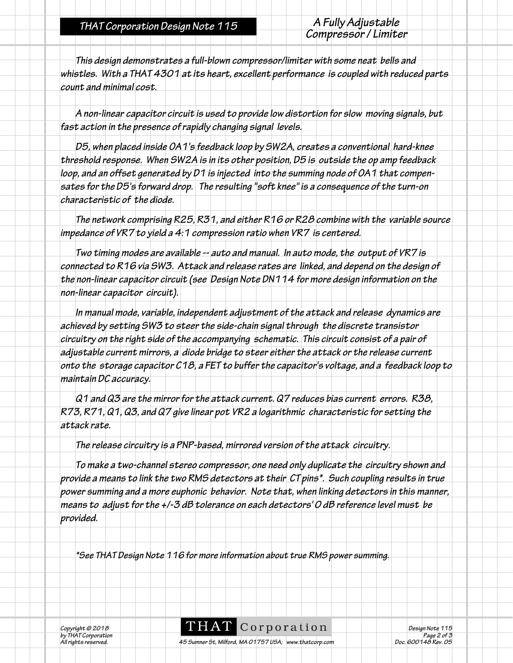**THAT Corporation Design Note 115 A Fully Adjustable**

**This design demonstrates a full-blown compressor/limiter with some neat bells and whistles. With a THAT 4301 at its heart, excellent performance is coupled with reduced parts count and minimal cost.**

**A non-linear capacitor circuit is used to provide low distortion for slow moving signals, but fast action in the presence of rapidly changing signal levels.**

**D5, when placed inside OA1's feedback loop by SW2A, creates a conventional hard-knee threshold response. When SW2A is in its other position, D5 is outside the op amp feedback loop, and an offset generated by D1 is injected into the summing node of OA1 that compensates for the D5's forward drop. The resulting "soft knee" is a consequence of the turn-on characteristic of the diode.**

**The network comprising R25, R31, and either R16 or R28 combine with the variable source impedance of VR7 to yield a 4:1 compression ratio when VR7 is centered.**

**Two timing modes are available -- auto and manual. In auto mode, the output of VR7 is connected to R16 via SW3. Attack and release rates are linked, and depend on the design of the non-linear capacitor circuit (see Design Note DN114 for more design information on the non-linear capacitor circuit).**

**In manual mode, variable, independent adjustment of the attack and release dynamics are achieved by setting SW3 to steer the side-chain signal through the discrete transistor circuitry on the right side of the accompanying schematic. This circuit consist of a pair of adjustable current mirrors, a diode bridge to steer either the attack or the release current onto the storage capacitor C18, a FET to buffer the capacitor's voltage, and a feedback loop to maintain DC accuracy.**

**Q1 and Q3 are the mirror for the attack current. Q7 reduces bias current errors. R38, R73, R71, Q1, Q3, and Q7 give linear pot VR2 a logarithmic characteristic for setting the attack rate.**

**The release circuitry is a PNP-based, mirrored version of the attack circuitry.**

**To make a two-channel stereo compressor, one need only duplicate the circuitry shown and provide a means to link the two RMS detectors at their CT pins\*. Such coupling results in true power summing and a more euphonic behavior. Note that, when linking detectors in this manner, means to adjust for the +/-3 dB tolerance on each detectors' 0 dB reference level must be provided.**

**\*See THAT Design Note 116 for more information about true RMS power summing.**

**C**  $\text{C}$  **C**  $\text{C}$  **C**  $\text{C}$  **C**  $\text{C}$  **C**  $\text{C}$  **Design Note 115** *besign Note* 115<br>by THAT Corporation Page 2 of 3<br>All rights reserved. **Page 2 of 3**<br>All rights reserved. **Page 2 of 3**<br>Page 2 of 3

**45 Sumner St, Milford, MA 01757 USA; www.thatcorp.com**